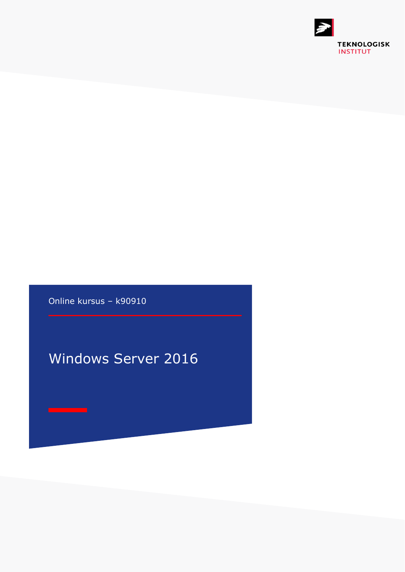

Online kursus – k90910

## Windows Server 2016